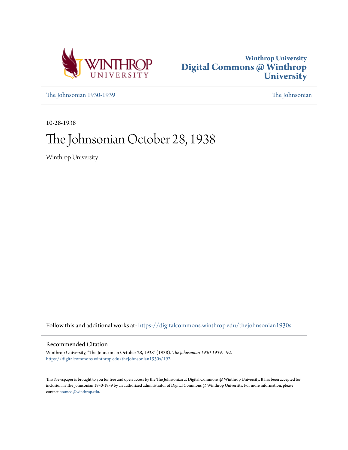



[The Johnsonian 1930-1939](https://digitalcommons.winthrop.edu/thejohnsonian1930s?utm_source=digitalcommons.winthrop.edu%2Fthejohnsonian1930s%2F192&utm_medium=PDF&utm_campaign=PDFCoverPages) [The Johnsonian](https://digitalcommons.winthrop.edu/thejohnsonian_newspaper?utm_source=digitalcommons.winthrop.edu%2Fthejohnsonian1930s%2F192&utm_medium=PDF&utm_campaign=PDFCoverPages)

10-28-1938

# The Johnsonian October 28, 1938

Winthrop University

Follow this and additional works at: [https://digitalcommons.winthrop.edu/thejohnsonian1930s](https://digitalcommons.winthrop.edu/thejohnsonian1930s?utm_source=digitalcommons.winthrop.edu%2Fthejohnsonian1930s%2F192&utm_medium=PDF&utm_campaign=PDFCoverPages)

## Recommended Citation

Winthrop University, "The Johnsonian October 28, 1938" (1938). *The Johnsonian 1930-1939*. 192. [https://digitalcommons.winthrop.edu/thejohnsonian1930s/192](https://digitalcommons.winthrop.edu/thejohnsonian1930s/192?utm_source=digitalcommons.winthrop.edu%2Fthejohnsonian1930s%2F192&utm_medium=PDF&utm_campaign=PDFCoverPages)

This Newspaper is brought to you for free and open access by the The Johnsonian at Digital Commons @ Winthrop University. It has been accepted for inclusion in The Johnsonian 1930-1939 by an authorized administrator of Digital Commons @ Winthrop University. For more information, please contact [bramed@winthrop.edu](mailto:bramed@winthrop.edu).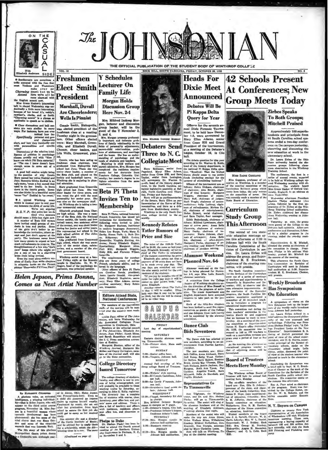



VOL. 16

Freshmen

Charamond with the functions and Western<br>respectively. The main of the functions and western of the state of<br>the state of the state of the state of the state of the<br>desired with the state of the state of the state of the s ble to speech as to clother

and discussions and bull nearest<br>are very similar in many over over the nearest and bull nearest<br> $\theta$  and the nearest discussions and per-<br>originally personal and general the very inviviably end<br>personalities and specific

near<br>Diacoxsions of the relative intel-<br>Diacoxsions of the relative intel-<br>pases usually end with "Now I'<br>own one who's Phi Deta material,"<br>"The one I know doesn't have<br>couply same to come out of a

efforms sense to come was to come the height of the solution of the property of the property and the property of the solution of the solution of the solution of the solution of the solution of the solution and the solution

Mary samed be twisted and hocker's and the<br>shocked and points and hocker and the matrice of the same behavior of<br>the same of the same of the same behavior in the same behavior in the<br>same of the same behavior in the same

The His story of this glaricus

**Comes as Next Artist Number** 



Mrs. Mildred Inskeep Mo gan, lecturer and discussion<br>group leader, will be the<br>guest of the Y November 2, Connie Smith, Bishopville

**Y** Schedules

Conne Smith, Bishopvine,<br>was elected president of the<br>freshman class at a meeting<br>Tuesday night in the gymnas-3, and 4. ium. Other officers elected<br>were: Mary Marshall, Green-<br>ville, and Elizabeth Duvall. Cheraw, cheer leaders, and<br>Lila Wells, Greenwood, pianand

o, and  $u$ <br>Iy important and initials problem is a simple to the line of family relationship in the fields of pareonality adjustments, hence parent-child eristimation, problem of additions, and marriage of approaches, and ist.<br>Connie, whe has been acting as Connie, who has been acling as<br>frequencies chain as a second parameter of the achievation of the second<br>response that the second parameter of the Beta club, and played on the<br>becker lander, a member of bookey and basketbal

**Beta Pi Theta Invites Ten to Membership** 

Beta Pi Theta, national honorary<br>French fraternity, has issued ten<br>invitations for membarahip. The<br>following were invited to join:<br>Dr. Margaret Buchner, instructor

Helen Jepson, Prima Donna,



bend over the country nort week-<br>
tend.<br>  $t_{\text{adi}}$ <br>  $t_{\text{adi}}$ <br>  $t_{\text{adi}}$ <br>  $t_{\text{adi}}$ <br>  $t_{\text{adi}}$ <br>  $t_{\text{adi}}$ <br>  $t_{\text{adi}}$ <br>  $t_{\text{adi}}$ <br>  $t_{\text{adi}}$ <br>  $t_{\text{adi}}$ <br>  $t_{\text{adi}}$ <br>  $t_{\text{adi}}$ <br>  $t_{\text{adi}}$ <br>  $t_{\text{adi}}$ <br>  $t_{\text{adi}}$ <br>  $t_{\text{adi}}$ <br>  $t_{\$ 

By ELEMARYE CUPRECA and animated with Points, Ohio, Helen Jepson, A glorious voice, an animated with Pointsy-Wald-been a plants in the third and in the third action of the time and in the time of the set of the set of the

(Continued on page 4)

# **Heads For Dixie Meet Announced**

THE OFFICIAL PUBLICATION OF THE STUDENT BODY OF WINTHROP COLLF : Z OCK HILL, SOUTH CAROLINA, FRIDAY, OCTORER 28, 1938

> Debates Will Be Pi Kappa Delta **Query for Year**

Officers for the neventh an-<br>ual Dixle Forensic Tourna-<br>eent, to be held here Decem-<br>er 1-3, were announced by Mary Ellen Adams, senior<br>from Cross Hill and Grand<br>President of the tournament. at a meeting of the Debater's league, October 19, in Cito hall.

**Collegiate Meeti** and Cheese in the section of the section of the section of the section of the section of the section of the section of the section of the section of the section of the section of the section of the sect r funda (inelation greeting) for the controller properties (in the controller controller follows: Heien Dickson, chairman for chains of chairman of room, chairman of rooms, chairman of rooms, chairman of rooms, chairman o

**Study Group** 

## **Alumnae Weekend Planned Nov. 4-6**

Alumnae week-end at the Col-<br>lege is being planned for Novem-<br>her 4-6, says Miss Leila Russell.<br>alumnae secretary.

almonas secretary.<br>
A committee from the College  $\alpha$ <br>
Angler of Winthrop daughters under the direction of Miss Ranaell is<br>
in charge of the program of activities.<br>
The ranael dapartment and the Equipment of the range of

gram.<br>
Each of the fifty-five chapters<br>
lus been invited to mend five repre-<br>
pentutives as grosts of the College<br>  $\gamma$  and one delegate from each county<br>
and one delegate from each county<br>
will be appointed by the alumnu

### **Dance Club Bids Seventeen**

The Dunce club has selected 17 there, according to an an vounceme<br>vesident.

president.<br>The new members are: Elita-<br>hash boldina, Anna Aimbara, Mary-<br>Dell Kemp, Betty Wood, Kather-<br>ine Betten, Marie Betten-Betten, Marie Betten, Marie Betten, Annis Mar<br>Roman, Elita-<br>Jetti, Jernie Mar Thomas, Elita-<br>

# 42 Schools Present At Conferences; New **Group Meets Today**

**MISS SADIE GOOGANS** 

**Curriculum** 

of the sto

Zirbes Speaks **To Both Groups; Mitchell Praised** 

Approximately 100 superin tendents and principals from<br>44 South Carolina achool systems ended a two-day confertems enous a two-uny conter-<br>ence on the campus yesterday,<br>observing and discussing the<br>new education at work in the elementary school.

ciementary school.<br>
Dr. Learn Zirbes of the Ohio<br>
State university beaded the discussion groups following class<br>
ream observation in the Windaws<br>
ream observation in the Windaws<br>
Training School.<br>
The conference, the first Miss Goggans, professor of ed-<br>cation at Winthrop, is a member Winthrop, is a member<br>ring committee of the of the atterning commutuous of the<br>Carriculum Revision group which<br>meets here today, the only woman<br>on the committee of aeven. She<br>was recently made a member of the<br>State Board of Education. versity, England, in an addressed

noun Wednesday<br>
Mednesday<br>
afternoon President<br>
Shekton Phelps addressed the<br>
group, followed by the first appearance of Dr. Zirbes at the Win-<br>
pearance of Dr. Zirbes on the Win-<br>
litrop Training School auditorium.<br>
sions

This Afternoon, the group<br>This Afternoon, the group<br>The second of two state-<br> $\frac{\text{const}}{\text{3.48}}$  and discussion hall cateterin. Attenuous<br>wide education meetings op frequences and discussions, follow-<br>wide education meetings

The account of two state-scale<br>presences and discussions, following a contribute education meetings on red in a similar pregnam in the Johnson hall with the South interest and enterpresent on M. Mitchell, Carolina Commuti

section assessment to the control of the species of the section and the control of the section and the section of the section of the section of the section of the section of the section of the section of the section of th

# torium SUNDAY 2:00-Sealer coffee be<br>6:30-Veapers, Johnse<br>MONDAY  ${\small \left\{ \begin{array}{l} \mbox{Gollege Directory} & \mbox{Answer of water} \\ \mbox{dslued Theory} & \mbox{Answer of water} \\ \mbox{dslued Theory} & \mbox{Answer of water} \\ \mbox{dslued Theory} & \mbox{4000-100} \\ \mbox{dslued Theory} & \mbox{4000-100} \\ \mbox{dslued theory} & \mbox{4000-100} \\ \mbox{dslued theory} & \mbox{4000-100} \\ \mbox{dslued theory} & \mbox{4000-100} \\ \mbox{dclued theory} & \mbox{4000-100} \\ \mbox{dcl$

**Debaters Send** Three to N.C.

of the Senate, Mary Elion as part-<br>liamentarian of the Hove of Rep-<br>resentatives, and Sara as a dele-<br>gate from Meckenburg county.<br>Winthrop is the only South Car-<br>olina college invited to the aa-

**Kennedy Refutes** 

**FRIDAY** 

**SATURDAY** 

Eastern district alum

g, Timmonsville. 7:30-Picture show, Main

of sm

The price of the 1938-39 Tartier<br>will be 44.00, the same as last year,<br>will be 44.00, the same as last year,<br>chief of The Tatler in reduction<br>of the primary concerning la price.<br>The primary control of the fundation<br>of the

Leesville.<br>The requirements for member-<br>ship are three years of college<br>Prench, scholastic ability, and in-<br>tarest in the language.<br>The officers of Beta Pi Theta.<br>Network of Beta Pi Theta.



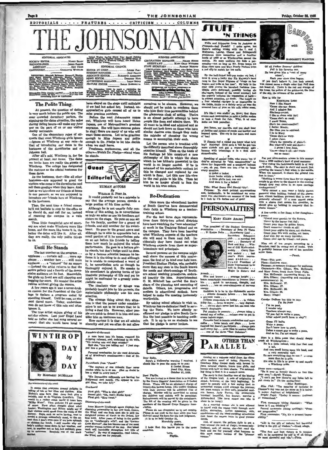**THE JOHNSONIAN** 

ADVERTISING: Mary Hayes Calhoun, Rose Craig.<br>Maryle Denny, Eugenia Keedell, Sederie Lott, Mendore

Hational Advertising Service, Inc.<br>420 Maines Ave. - New York, N.Y. Course.

should their true personalities behind<br>the glamorous cloak of acting. Theirs<br>is an almost pathetic attempt to have

people like them and admire them. We<br>all want to be liked and admired and so<br>should not look down on those who have

sinuit desires even though they make<br>the mistake of choosing the wrong<br>means to accomplish their ends.

**Re-Dedication** 

training school.

*details* 

worthwhile.

Once more the educational leaders<br>of South Caro<sup>14</sup>na have demonstrated<br>their faith in Winthrop as a teacher-

For the last three days representa-<br>tives from thirty-two school districts<br>have been watching the "new education"

have been watening to "new equication"<br>at work in the Training School and on<br>the campus. They have been learning<br>what Winthrop expects of the teachers<br>also will send to them next fall. In-<br>cidentally they have found out wh

Winthrop expects from them as super-

intendents and principals.<br>Several persons on the campus might Several persons on the campus might<br>well abare the success of this conference, the first of its kind over held here.<br>President Shelton Phelps, who probably<br>mor

are of the planning and executing of tails. Others, too, progressive and dern in educational outlook, have

By asking school officials to visit us,

helped to make the meeting imme

intendents and principals.

racives to be sincere. However, we ald not be outck to conde

mn the

Gamp

nolth

**MARGARETT BLANTO** 

霞 ൡ



ORTEAS Emaked Ballency, Margarett Band<br>Mary Osma, Phillip Garden, Margarett Band<br>Mary Osma, Phillip Hards, Mary Boli, Band<br>Mary Osma, Phillip Hards, Mary Boli, Band<br>Mary Piacker, Emaked, Mary Boli, Band<br>Mary Piacker, Emake son, Elaine

## The Polite Thing

At present, the question of dating<br>is very much before the public eye. The<br>over crowded dormitory parlors, the<br>aigning-up-for-dates aituation, the noise over crowned normitory parsons, the<br>aigning-up-for-dates altuation, the noise<br>during dating hours-all make any faux pas on the part of us or our visitor

oubly noticeable.<br>One of the elementary rules of etione or the elementary ruise of edi-<br>quote that most Winthrop girls ignore<br>diat of introducing our dates to the<br>hostesses of the dormitories and of Johnson hall.

Johnson hull.<br>
After all's said, Winthrop is, for the<br>
present at least, our home. The dates<br>
we invite here are really the guests of<br>
Winthrop. The college has designated<br>
the matrons as the official hostesses for these dates.

As the hostesses, they-like all other As the hosteases, they——use an other<br>hosteases—are supposed to greet the<br>visitors who come to the dormitories and<br>tell them goodbye when they leave. And,<br>just as we introduce our friends at home to our parents, so we are supposed to<br>introduce our friends here at Winthrop<br>to the hostosses.

Then, the next time a friend comes,<br>he'll not hesitete to stop by the office as<br>he should do, and call for us, instead of roaming the campus in a search

These little thoughtful acts of courtsince it to easy are what make Winthrop more like<br>home, and the more like home it is, the<br>better the dates will like it. After all, they are really, the only polite things to do

### **Until He Stands**

The last number on the program. applause...curtain call...more applause...autober how...still more<br>plause...another how...still more<br>applause...a "natural" for an encore -Instead the artist returns to find the stairs audience on its feet. Meanwhile the girls up front are still clapping and<br>begging for more. No wonder the artist res without giving the encore.

A few years ago it was a never-hroklege to declare a program ended by<br>standing himself. Until be rose, no student dared move. Today, underclass-<br>men do not know of this rule and often ignore it.

The true artist enjoys giving of his art for others. Last year Engel Land told us (after she had sung several encores) that she would have loved to



Surmisements-of-the-week

Survation<br>entra-of-Ac-isres). Survation of the server in correct to the<br>line of this or her likes and dislike. Miss Binkey's syns have that dever head<br>in the training of this or her likes and dislike. Miss well to the<br>ser

The Johnson was to make a residence of

have stayed on the stage until midnight<br>if we had but asked her. Instead, un-<br>appreciative girls caused all of us to sa precio numbers

mias precious numbers.<br>
Before the next Johnsonian comes<br>
Dispon, one of Metropolitan's greatest<br>
Jepson, one of Metropolitan's greatest<br>
sopranos. She will have encores galore<br>
sopranos. She will have encores galore<br>
to s

when we shall reave.<br>Freehmen, sophomores, and all the<br>others-Watch Dr. Phelps-stand when he stands



 $By$ <br>It would probably not be a mistake to say that the average person spends a

Although be is not usually fully conscious of this acting, he is nevertheless

aisters on the stage. He puts on one act<br>for his family, another for a group of friends, and still another for his sweet heart. He goes to the grand opera and<br>although he is able to appreciate but a sinall portion of it he nevertheless puts<br>on an act before his friends by telling<br>them how much he enjoyed the whole performance. He goes to a lecture givne standa, but don't budge until he does.<br>Ieres it is the bulge until he doesn't leves it is tunkle to comprehend a word of<br>leves it is under budge in the summer of a very of it,<br>he nevertheless acte as though he thorough

alistic one.<br>The idealistic view of things was probably taught him by his parents, the materialistic philosophy was his own selection.

The strange thing about this eitua-The arrange time about this situation is that the person under consideration is not net to be aware that he is<br>about a not net to be aware that he is<br>living a dual life. However, other peaks<br>ple are quick to detect it in h

How curious it is that we all admire<br>sincerity and yet we often do not allow

 $\label{eq:1} \begin{array}{ll} \Delta\text{-}mass \text{ or } 3\gamma\text{-}648\text{-}898\text{k} \\ \Delta\text{-}mass \text{ to } 3\text{ to } 3\text{ to } 3\text{ to } 3\text{ to } 3\text{ to } 3\text{ to } 3\text{ to } 3\text{ to } 3\text{ to } 3\text{ to } 3\text{ to } 3\text{ to } 3\text{ to } 3\text{ to } 3\text{ to } 3\text{ to } 3\text{ to } 3\text{ to } 3\text{ to } 3\text{ to } 3\text{ to } 3\text{ to } 3\text{$ 

"The captain of one Atlantic liner never<br>smokes while he is at sea. (But no doubt he a whiff in every port.)"

"Six Devenablye milkenside are leaving for Hollywood next month. (To appear in con-

First girl: "Who is that girl!"<br>Second girl: "Ob, that's Birdie Byrd."<br>First girl: "How tweet."

Oncorrery-q-1-the-essek<br>method and the particular control of the system charming permonality in her new book, Lokers, the system of the system of the system of book that the system of book. After years of boles and the dy

Personal nomination for the most deal of Winthrop's countenances- that<br>Kaith,

Parenthesis from "Punch"

ory-af-tha-week

Overheard

**Pilano** 



Dear Sally, r's a Hallowe'en warning I re-Ħ the to pass the same on to you:<br> **E** Casket Struct<br>
Dead City, Mass.<br>
October 11, 1938.

 $11, 11$ 

Dear Phyllis, October 21, 1933.<br>
You are invited to a dance that is to be given by the Grave Digners' Associates on 2 Canadet Street. There will be an admission charge of with their parama lones. (No exactly Orphava charg clation.<br>Plant

dation.<br>
Hense de not disappelnt us by net coming.<br>
Please de not rank te the door when you bear<br>
is the town of his horre is net judgment.<br>
it is to be held October 31.<br>
Mornfully years.

I hope that this leaves a in the set

Love,<br>Phyllis.

Prills and fripperies from its feabless de handless of<br>Presseds—bad Pressel r (cuite agree, but the later of the final scheme<br> $\chi$  and  $f$ . Along wrong with the<br> $\chi$  and  $f$ . Along the definity<br>sense and chickers of Holyn

'N THINES

a red dip to match her low ralls. By the half-liked Iolli-pop under my bed, I<br>Usy the half-liked Iolli-pop under my bed, I trow it were a herby day IIIs Majasty's bard<br>age to Her Royal Higman of "rings on her appear 1938

The like I was atellie will white state of the number of the like I was atellied by later than the process and the results of the process and the process of the state of the matter of the state of the state of the state of

But listen, any chemies, and you shall hear<br>of jurkins and jericins of sunde and leather and<br>leopard spots. The cry is for more and more leopard up<br>of 'em1 means to accomplish their ends.<br>
Let the person who is troubled with<br>
Let the person who is troubled with<br>
the difficulty described above thoroughly<br>
examine himself. Then on the basis of<br>
his findings let him construct a

or on:<br>
If Jimmie had a nickel you know what he'd buy!<br>
Nothing! Bod saw is 'till he got two<br>
bursts with triannings a is a first class<br>
banans with triannings a is a first class<br>
sionach-ache.

stomach-ache,<br>
Speaking of second looks, who wants 'em if<br>
they're attracted by "sich meastractics" as<br>
claws for fingernalis and a soupbowl haircut<br>
--yes, oh yes, there are two  $x^{1}$ 'es to 'meast -year, on  $\frac{1}{2}$ <br>  $\frac{1}{2}$  A tisket a tasket<br>  $\frac{1}{2}$  A tisket a tasket<br>  $\frac{1}{2}$  A little girlle took one out<br>
And were it for a locket!

Title: What Svery Grif Should "No".<br>Turpose: To start pointed conversations<br>and, incldentally, to be considered as orne-<br>ment free charmsunic--on account of the book<br>is 1 inch by 1% inches and of gold!

Of all Father Seasons' children<br>Father Seasons' children<br>He has given him a "ceat of many Heah pear line a time begun.<br>Here is obsert, and there it, just the begun.<br>You cannot hame a single color that Fall do the season a

How is this for MARCULINE LOGIC MARCULINE LOGS<br>New I like Nance<br>'Cause she-can dance.<br>And I admire Het And *& admits mes*<br>Sha-heap-no-pet.<br>I like to clum with Ne!<br>"Cause she's so swall.<br>I avoid Helen, I avoid Helen,<br>
Sho's too sweet-mediin'!<br>
Sho likes you to appland.<br>
Sho likes you to appland.<br>
Sho likes you to appland.<br>
Clause show wary.<br>
Clause appearts of plain!)<br>
But when ally and done-<br>
Clause -days it all-ab trea

 $\begin{minipage}{0.9\textwidth} \begin{tabular}{p{0.85\textwidth}} \textbf{For you ultra-order and linear form} \\ \textbf{For you all the model of the model of the same set: \\ \textbf{For } \textit{right} \text{ book of good manner: \\ \textbf{For } \textit{right} \text{ to } \textit{fable} \textit{ Table 1} \\ \textbf{or} \textit{ref} \textit{label} \textit{label} \textit{label} \textit{label} \textit{label} \textit{label} \textit{label} \textit{label} \textit{label} \textit{label} \textit{label} \textit{label} \textit{label} \textit{label} \textit{label} \textit$ 

feet in front."<br>"Notbing is worne form than for an engaged<br>couple to go alone to the theatre in the evening<br>though they may drive in an open carriage<br>unchaperoned."

unchappersed."<br>"Why cannot a man wear a fairly decent gave more why cannot below is<br>gave most below a pair of the series of the series in the series below<br>generally affected ? If a man cannot swim with a alcore that over<br>

A few words; a few lines; a few thoughtsfor words; a few libes; a few longing<br>over:<br>"Conk your gaten by the following,<br>Never by the leaves that fall;<br>Count your days by golden hears,<br>Don't your aigns by golden hears,<br> $\alpha$  Don't your aights by stars, not shadow<br>

Nine out of ten people, according to a<br>brarian, read the vrong sort of books. This<br>probably because nine out of ten novelists<br>rite them.

-Tunes.<br>
Time-This year.<br>
Place-Uniform room.<br>
Place-Uniform room.<br>
Characters-Hex Gibnos, Mrs. McDona<br>
Mary Jons, room Grant Falls.<br>
Mrs. (Robonald: (measuring Mary) 34,<br>
Mrs. Gibnon: (repeating and recording<br>
Mrs. McDona

 $-$ Paneh

**PERSONALITIES** MARY ELLEN ADAMS



vear's Dixie tourna-<br>ment goddens...<br>Crand President of<br>Dixie Tournament to be<br>held in December...<br>Major in history and

Major in history and<br>Slim and brown . . . awarage height . . .<br>bears remarkable resemblance to Densita Put-<br>bin . . . quick in moviment, thought, and<br>speech . . . has an over-abundance of nervous

ser computer ... abvays takes a<br>pond cup of caffee ... reluses ever to put in<br>vam before sugar.<br>Favorite food is tomato annumelose and more

scond cup of coffee ... reluses ever to put<br>ream before sugar.<br>Paus before sugar.<br>Star die of the stands and plays ... low<br>offee ... lowes tambi and plays ... low<br>cothell termy day ... even likes to accure lette<br>... over o

## **OTHER THAN** ARALLEL

Carolyn DuBoss has this to say:<br>I'm No Pozy I'm no poet,<br>I wonder why Teachers always say,<br>"If you fail to write a poem,<br>After school you'll have to stay"!

news. schoon: 27.<br>Mrs. Gibson: 27.<br>Mrs. Gibson: 36.<br>Mrs. Gibson: 36.<br>Mary: Eingof

The Party of the Hills of the Santy<br>
The a poem.<br>
Don't know bow to start.<br>
Don't know bow to start.<br>
This a smart guy to write a poem.<br>
And se far, I'm not smart!

fere is a little poem that should deeply<br>sh all Winthroplane-<br>He is a little saimal, with four feet and<br>a tail,

a tail, and two small horns upon his bead, and<br>a very mouratul wall.<br>He ests everything that be can  $\mathbb{F}$  are mouratul wall.<br>He same than be is able.<br>His aim in life is to grow up and supply<br>a Wisthrop table.

These were cverheard:<br>"Be it ever so homely there's no face like<br>your own."-Sarah Watson.

"De R ever so homely there's no face like<br>your ewn,"—Sarah Watson,<br>"I can how there's any hole left to<br>"at Y can how there's any hole left to<br>"-at limit Rostinger. The meaning of hechoicr in the solution<br>of the same is it

First roommate (doing Spanish): "What<br>tense is 7 am thinking'?"<br>
Necond roommate (doing nothing): "Free-<br>
set progressive."<br>
First roommate: "No, it's a present impos-<br>
First roommate: "No, it's a present impos-

"Life is the gift of nature; but beautiful  $H<sub>0</sub>$ 



By asking school officials to visit us,<br>Winthrop has re-dedicated itself to ser-<br>ing the State. We have all<br>ently reaffirmed our pledge to give South Carolina the best possible in teaching methods.<br>It is up to us as studen

P

Corolax as a welcome relief from the difference of the<br>sign of the difference of the column covered with a possible from the<br>sign of the corolax covered with the sign of the brane covered with<br> $\frac{1}{2}$  and the sign that

and the state of the state of the state of the state of the state of the state and the state of the state of the state of the state of the state of the state of the value of the value of the value of the value of the value

er control of the magnitude of the control of And, of control, the gallows falls to put<br>a strong and the neck of Judy's in-name-enly-<br>transmostry and the neck of Judy's in-name-enly-<br>transmost and of course, his control th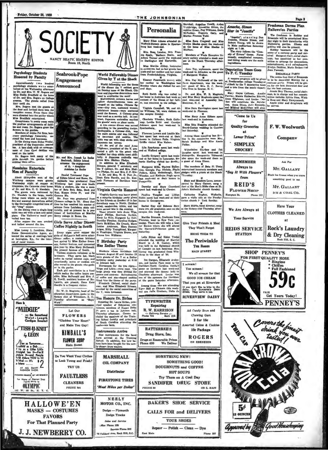Psychology Students

**Honored by Faculty** 

Approximately  $1\leq n$  bundred tailors students were enter-<br>tailord at tea Weynamely afternoon blum Stella Breadfuld at the Meynamely afternoon blum Stella Breadfuld at the home of Dr. and Mrs. Rogers and College are aways

owers in his garden.<br>Members of Alpha Psi Zets, hon-

Members of Alpha Pal Zeta, home<br>start paychology frakernity, assisted the host and hosteness.<br>In the dining room Helen Tindal.<br>In the dining room Helen Tindal.<br>In the dining room Helen Tindal.<br>Les. A lace clobi with an arr

**Naudains Entertain** 

on the table.<br>Rogers took many of the through his garden before

ately two hundr

Mary Ellen Adams attended the Wofford-Stetson game in Spartan

Truwbridge, Ernestine<br>sephine Green, Peg Wil<br>McFadden, Eugenia

McFadden, Eugenia<br>Martha Frances Todd.

Miss Sara Cragwell and B<br>Evelyn Ehodes spent the week-<br>at the home of Miss Ehodes<br>Bluffion

w

**122 E. MAIN** 

Phone 287

nram<br>Cas

Page R

#### Freshman Dorme Plan Hallowe'en Partise

Amache, Simo

Star in "Josette"

"alestic", starring Don<br>America, Silvane Simon, and<br>hoster Young, will be shown<br>in Main and<br>iterations. The starring will be above the "Com-<br>order of Errors" theme. The story of the starring main<br>comedy, complicated romanc

A vespers program will be given<br>at Presbyterian college Tuesday a<br>7 o'clock by the Y deputation team<br>and a trio from the music depart

 $\overline{a}$ 

Mary Hayes Calhoun,

Finance of Finance and Robert and Robert and Brazillac Street, and Brazillac Street and Robert and Robert and Robert and Robert and Robert and Robert and Robert and Robert and Robert and Robert and Robert and Robert and Ro

misse to arrange for decorations,<br>entertainment, and refreshments,<br>Evelyn Dobbins, Marie Bethen rad<br>Jean Fawcett.

#### **REEAZEALE PARTY**

Benezzata. Pentru Tammar and Benezzata.<br>
The entire first floor of Breaseake<br>
py at | coatiums party, Prince will be given<br>
and the discovated Monday for a metric of the best contume.<br>
entire for the best contume.<br>
entire

**Announced** 

SOCIETY

Mr. and Mrs. Joseph La Reche<br>Seabrook, Ediste Island abrook, Edmonden<br>1981 - the engagement<br>1981 - daughter<br>Adalaius La Roche

"MIDGIE"

— the Sensetions<br>Waist - Longti<br>Cerdinan Sweeter

**TISH-U-KNIT** 

 $4$  LEON

 $\begin{array}{l} \begin{array}{c} \text{Now as Tomorow...}\\ \text{1 subhd as a Dsb ...}\\ \text{1--} \end{array} \\ \begin{array}{c} \text{1--} \end{array} \\ \begin{array}{c} \text{1--} \end{array} \\ \begin{array}{c} \text{1--} \end{array} \\ \begin{array}{c} \text{1--} \end{array} \\ \begin{array}{c} \text{1--} \end{array} \\ \begin{array}{c} \text{1--} \end{array} \\ \begin{array}{c} \text{1--} \end{array} \\ \begin{array}{c} \text{1--} \end{array} \\ \begin{array}{c} \text{1--} \end{array} \\ \$ 

AT ALL SMART

**ome of Nearest Shop**<br>Fiease Write to

**OLYMPIC** 

 $141$  W

W



**Neuralines Entertain Mediator Later and Addistor Laterature Method and Removement of the Editor Later with the supplement of the Editor Method and Removement Control Control Control Control Control Control Control Contro** 

**FLOWERS** "Gladden Your Heart" and Make You Gay!

**KIMBALL'S FLOWER SHOP Main Street** 

Do You Want Your Clothes to Look Young and Fresh? TRY US

**FAULTLESS CLEANERS** PHONE 881

72 Oakland Ava., Rock Hill, S.C.

East Main

**HALLOWE'EN MASKS - COSTUMES FAVORS For That Planned Party** 

Y.C

**J. J. NEWBERRY CO.**